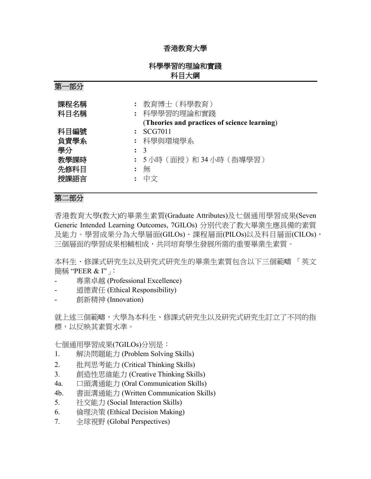## 香港教育大學

# 科學學習的理論和實踐 科目大綱

第一部分

| 課程名稱<br>科目名稱         | 教育博士 (科學教育)<br>: 科學學習的理論和實踐<br>(Theories and practices of science learning) |
|----------------------|-----------------------------------------------------------------------------|
| 科目編號<br>負責學系<br>學分   | SCG7011<br>: 科學與環境學系<br>$\colon$ 3                                          |
| 教學課時<br>先修科目<br>授課語言 | 5小時 (面授)和34小時 (指導學習)<br>無                                                   |

### 第二部分

香港教育大學(教大)的畢業生素質(Graduate Attributes)及七個通用學習成果(Seven Generic Intended Learning Outcomes, 7GILOs) 分別代表了教大畢業生應具備的素質 及能力。學習成果分為大學層面(GILOs)、課程層面(PILOs)以及科目層面(CILOs), 三個層面的學習成果相輔相成,共同培育學生發展所需的重要畢業生素質。

本科生、修課式研究生以及研究式研究生的畢業生素質包含以下三個範疇 「英文 簡稱 "PEER & I"」:

- 專業卓越 (Professional Excellence)
- 道德責任 (Ethical Responsibility)
- 創新精神 (Innovation)

就上述三個範疇,大學為本科生、修課式研究生以及研究式研究生訂立了不同的指 標,以反映其素質水準。

七個通用學習成果(7GILOs)分別是:

- 1. 解決問題能力 (Problem Solving Skills)
- 2. 批判思考能力 (Critical Thinking Skills)
- 3. 創造性思維能力 (Creative Thinking Skills)
- 4a. 口頭溝通能力 (Oral Communication Skills)
- 4b. 書面溝通能力 (Written Communication Skills)
- 5. 社交能力 (Social Interaction Skills)
- 6. 倫理決策 (Ethical Decision Making)
- 7. 全球視野 (Global Perspectives)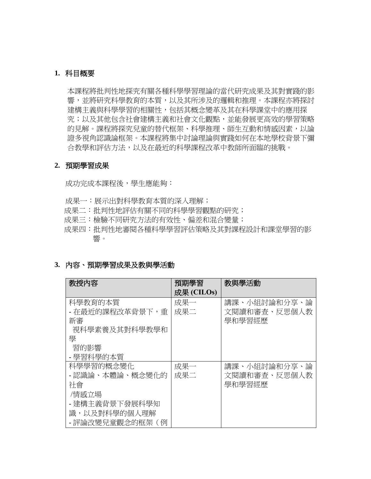### **1.** 科目概要

本課程將批判性地探究有關各種科學學習理論的當代研究成果及其對實踐的影 響,並將研究科學教育的本質,以及其所涉及的邏輯和推理。本課程亦將探討 建構主義與科學學習的相關性,包括其概念變革及其在科學課堂中的應用探 究;以及其他包含社會建構主義和社會文化觀點,並能發展更高效的學習策略 的見解。課程將探究兒童的替代框架、科學推理、師生互動和情感因素,以論 證多視角認識論框架。本課程將集中討論理論與實踐如何在本地學校背景下彌 合教學和評估方法,以及在最近的科學課程改革中教師所面臨的挑戰。

#### **2.** 預期學習成果

成功完成本課程後,學生應能夠:

- 成果一:展示出對科學教育本質的深入理解;
- 成果二:批判性地評估有關不同的科學學習觀點的研究;
- 成果三:檢驗不同研究方法的有效性、偏差和混合變量;
- 成果四:批判性地審閱各種科學學習評估策略及其對課程設計和課堂學習的影 響。

### **3.** 內容、預期學習成果及教與學活動

| 教授内容            | 預期學習       | 教與學活動        |
|-----------------|------------|--------------|
|                 | 成果 (CILOs) |              |
| 科學教育的本質         | 成果一        | 講課、小組討論和分享、論 |
| - 在最近的課程改革背景下,重 | 成果二        | 文閱讀和審查、反思個人教 |
| 新審              |            | 學和學習經歷       |
| 視科學素養及其對科學教學和   |            |              |
| 壆               |            |              |
| 習的影響            |            |              |
| - 學習科學的本質       |            |              |
| 科學學習的概念變化       | 成果一        | 講課、小組討論和分享、論 |
| - 認識論、本體論、概念變化的 | 成果二        | 文閱讀和審查、反思個人教 |
| 社會              |            | 學和學習經歷       |
| /情感立場           |            |              |
| - 建構主義背景下發展科學知  |            |              |
| 識,以及對科學的個人理解    |            |              |
| - 評論改變兒童觀念的框架(例 |            |              |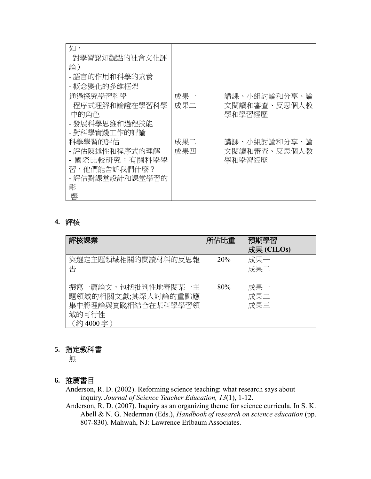| 如,              |     |              |
|-----------------|-----|--------------|
|                 |     |              |
| 對學習認知觀點的社會文化評   |     |              |
| 論)              |     |              |
| - 語言的作用和科學的素養   |     |              |
| - 概念變化的多維框架     |     |              |
| 通過探究學習科學        | 成果一 | 講課、小組討論和分享、論 |
| - 程序式理解和論證在學習科學 | 成果二 | 文閱讀和審查、反思個人教 |
| 中的角色            |     | 學和學習經歷       |
| - 發展科學思維和過程技能   |     |              |
| - 對科學實踐工作的評論    |     |              |
| 科學學習的評估         | 成果二 | 講課、小組討論和分享、論 |
| - 評估陳述性和程序式的理解  | 成果四 | 文閱讀和審查、反思個人教 |
| 國際比較研究:有關科學學    |     | 學和學習經歷       |
| 習,他們能告訴我們什麼?    |     |              |
| - 評估對課堂設計和課堂學習的 |     |              |
| 影               |     |              |
| 響               |     |              |

# **4.** 評核

| 評核課業                                                                                | 所佔比重 | 預期學習<br>成果 (CILOs) |
|-------------------------------------------------------------------------------------|------|--------------------|
| 與選定主題領域相關的閱讀材料的反思報<br>告                                                             | 20%  | 成果一<br>成果二         |
| 撰寫一篇論文,包括批判性地審閱某一主<br>題領域的相關文獻;其深入討論的重點應<br>集中將理論與實踐相結合在某科學學習領<br>域的可行性<br>(約4000字) | 80%  | 成果一<br>成果二<br>成果三  |

# **5.** 指定教科書

無

# **6.** 推薦書目

Anderson, R. D. (2002). Reforming science teaching: what research says about inquiry. *Journal of Science Teacher Education, 13*(1), 1-12.

Anderson, R. D. (2007). Inquiry as an organizing theme for science curricula. In S. K. Abell & N. G. Nederman (Eds.), *Handbook of research on science education* (pp. 807-830). Mahwah, NJ: Lawrence Erlbaum Associates.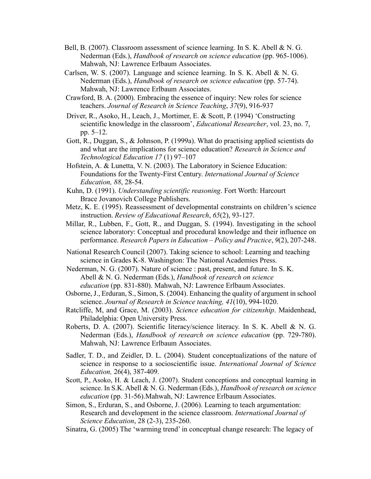- Bell, B. (2007). Classroom assessment of science learning. In S. K. Abell & N. G. Nederman (Eds.), *Handbook of research on science education* (pp. 965-1006). Mahwah, NJ: Lawrence Erlbaum Associates.
- Carlsen, W. S. (2007). Language and science learning. In S. K. Abell & N. G. Nederman (Eds.), *Handbook of research on science education* (pp. 57-74). Mahwah, NJ: Lawrence Erlbaum Associates.
- Crawford, B. A. (2000). Embracing the essence of inquiry: New roles for science teachers. *Journal of Research in Science Teaching*, *37*(9), 916-937
- Driver, R., Asoko, H., Leach, J., Mortimer, E. & Scott, P. (1994) 'Constructing scientific knowledge in the classroom', *Educational Researcher*, vol. 23, no. 7, pp. 5–12.
- Gott, R., Duggan, S., & Johnson, P. (1999a). What do practising applied scientists do and what are the implications for science education? *Research in Science and Technological Education 17* (1) 97–107
- Hofstein, A. & Lunetta, V. N. (2003). The Laboratory in Science Education: Foundations for the Twenty-First Century. *International Journal of Science Education, 88*, 28-54.
- Kuhn, D. (1991). *Understanding scientific reasoning*. Fort Worth: Harcourt Brace Jovanovich College Publishers.
- Metz, K. E. (1995). Reassessment of developmental constraints on children's science instruction. *Review of Educational Research*, *65*(2), 93-127.
- Millar, R., Lubben, F., Gott, R., and Duggan, S. (1994). Investigating in the school science laboratory: Conceptual and procedural knowledge and their influence on performance. *Research Papers in Education – Policy and Practice*, *9*(2), 207-248.
- National Research Council (2007). Taking science to school: Learning and teaching science in Grades K-8. Washington: The National Academies Press.
- Nederman, N. G. (2007). Nature of science : past, present, and future. In S. K. Abell & N. G. Nederman (Eds.), *Handbook of research on science education* (pp. 831-880). Mahwah, NJ: Lawrence Erlbaum Associates.
- Osborne, J., Erduran, S., Simon, S. (2004). Enhancing the quality of argument in school science. *Journal of Research in Science teaching, 41*(10), 994-1020.
- Ratcliffe, M, and Grace, M. (2003). *Science education for citizenship*. Maidenhead, Philadelphia: Open University Press.
- Roberts, D. A. (2007). Scientific literacy/science literacy. In S. K. Abell & N. G. Nederman (Eds.), *Handbook of research on science education* (pp. 729-780). Mahwah, NJ: Lawrence Erlbaum Associates.
- Sadler, T. D., and Zeidler, D. L. (2004). Student conceptualizations of the nature of science in response to a socioscientific issue. *International Journal of Science Education,* 26(4), 387-409.
- Scott, P., Asoko, H. & Leach, J. (2007). Student conceptions and conceptual learning in science. In S.K. Abell & N. G. Nederman (Eds.), *Handbook of research on science education* (pp. 31-56).Mahwah, NJ: Lawrence Erlbaum Associates.
- Simon, S., Erduran, S., and Osborne, J. (2006). Learning to teach argumentation: Research and development in the science classroom. *International Journal of Science Education*, 28 (2-3), 235-260.
- Sinatra, G. (2005) The 'warming trend' in conceptual change research: The legacy of